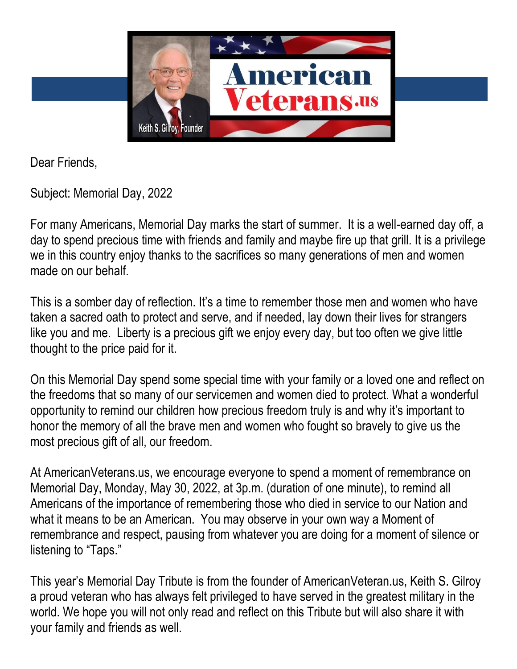

Dear Friends,

Subject: Memorial Day, 2022

For many Americans, Memorial Day marks the start of summer. It is a well-earned day off, a day to spend precious time with friends and family and maybe fire up that grill. It is a privilege we in this country enjoy thanks to the sacrifices so many generations of men and women made on our behalf

This is a somber day of reflection. It's a time to remember those men and women who have taken a sacred oath to protect and serve, and if needed, lay down their lives for strangers like you and me. Liberty is a precious gift we enjoy every day, but too often we give little thought to the price paid for it.

On this Memorial Day spend some special time with your family or a loved one and reflect on the freedoms that so many of our servicemen and women died to protect. What a wonderful opportunity to remind our children how precious freedom truly is and why it's important to honor the memory of all the brave men and women who fought so bravely to give us the most precious gift of all, our freedom.

At AmericanVeterans.us, we encourage everyone to spend a moment of remembrance on Memorial Day, Monday, May 30, 2022, at 3p.m. (duration of one minute), to remind all Americans of the importance of remembering those who died in service to our Nation and what it means to be an American. You may observe in your own way a Moment of remembrance and respect, pausing from whatever you are doing for a moment of silence or listening to "Taps."

This year's Memorial Day Tribute is from the founder of AmericanVeteran.us, Keith S. Gilroy a proud veteran who has always felt privileged to have served in the greatest military in the world. We hope you will not only read and reflect on this Tribute but will also share it with your family and friends as well.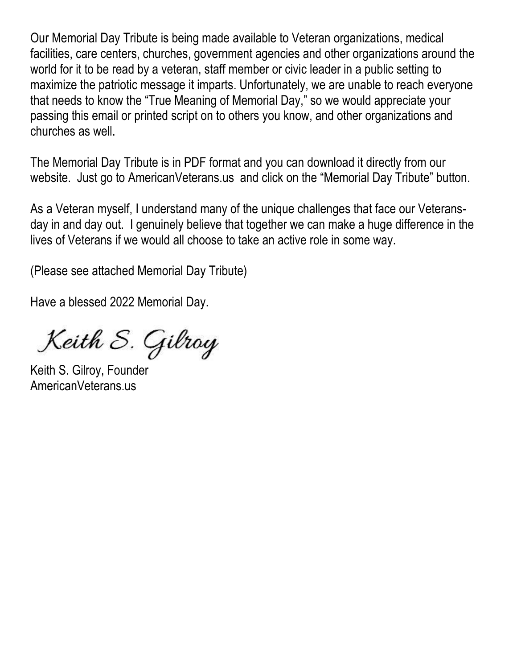Our Memorial Day Tribute is being made available to Veteran organizations, medical facilities, care centers, churches, government agencies and other organizations around the world for it to be read by a veteran, staff member or civic leader in a public setting to maximize the patriotic message it imparts. Unfortunately, we are unable to reach everyone that needs to know the "True Meaning of Memorial Day," so we would appreciate your passing this email or printed script on to others you know, and other organizations and churches as well.

The Memorial Day Tribute is in PDF format and you can download it directly from our website. Just go to AmericanVeterans.us and click on the "Memorial Day Tribute" button.

As a Veteran myself, I understand many of the unique challenges that face our Veteransday in and day out. I genuinely believe that together we can make a huge difference in the lives of Veterans if we would all choose to take an active role in some way.

(Please see attached Memorial Day Tribute)

Have a blessed 2022 Memorial Day.

Keith S. Gilroy

Keith S. Gilroy, Founder AmericanVeterans.us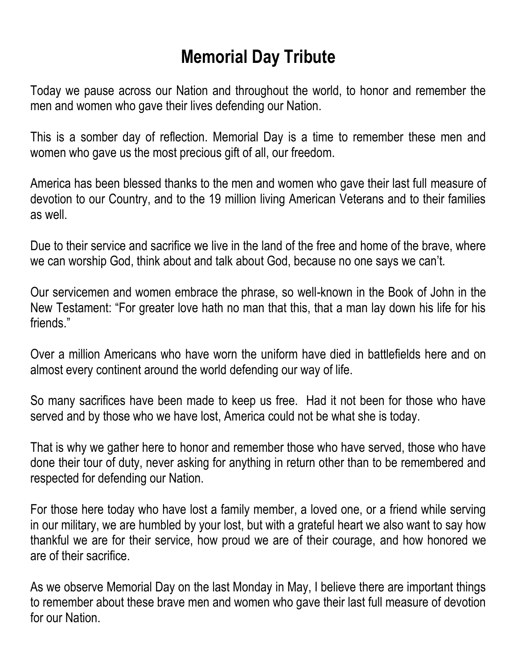## **Memorial Day Tribute**

Today we pause across our Nation and throughout the world, to honor and remember the men and women who gave their lives defending our Nation.

This is a somber day of reflection. Memorial Day is a time to remember these men and women who gave us the most precious gift of all, our freedom.

America has been blessed thanks to the men and women who gave their last full measure of devotion to our Country, and to the 19 million living American Veterans and to their families as well.

Due to their service and sacrifice we live in the land of the free and home of the brave, where we can worship God, think about and talk about God, because no one says we can't.

Our servicemen and women embrace the phrase, so well-known in the Book of John in the New Testament: "For greater love hath no man that this, that a man lay down his life for his friends."

Over a million Americans who have worn the uniform have died in battlefields here and on almost every continent around the world defending our way of life.

So many sacrifices have been made to keep us free. Had it not been for those who have served and by those who we have lost, America could not be what she is today.

That is why we gather here to honor and remember those who have served, those who have done their tour of duty, never asking for anything in return other than to be remembered and respected for defending our Nation.

For those here today who have lost a family member, a loved one, or a friend while serving in our military, we are humbled by your lost, but with a grateful heart we also want to say how thankful we are for their service, how proud we are of their courage, and how honored we are of their sacrifice.

As we observe Memorial Day on the last Monday in May, I believe there are important things to remember about these brave men and women who gave their last full measure of devotion for our Nation.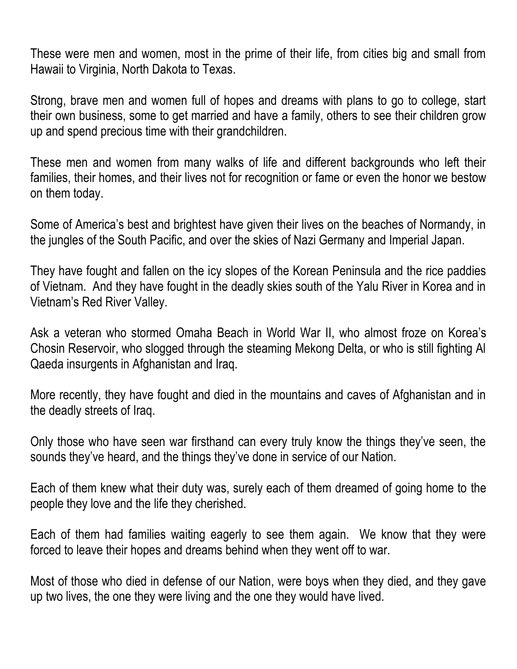These were men and women, most in the prime of their life, from cities big and small from Hawaii to Virginia, North Dakota to Texas.

Strong, brave men and women full of hopes and dreams with plans to go to college, start their own business, some to get married and have a family, others to see their children grow up and spend precious time with their grandchildren.

These men and women from many walks of life and different backgrounds who left their families, their homes, and their lives not for recognition or fame or even the honor we bestow on them today.

Some of America's best and brightest have given their lives on the beaches of Normandy, in the jungles of the South Pacific, and over the skies of Nazi Germany and Imperial Japan.

They have fought and fallen on the icy slopes of the Korean Peninsula and the rice paddies of Vietnam. And they have fought in the deadly skies south of the Yalu River in Korea and in Vietnam's Red River Valley.

Ask a veteran who stormed Omaha Beach in World War II, who almost froze on Korea's Chosin Reservoir, who slogged through the steaming Mekong Delta, or who is still fighting Al Qaeda insurgents in Afghanistan and Iraq.

More recently, they have fought and died in the mountains and caves of Afghanistan and in the deadly streets of Iraq.

Only those who have seen war firsthand can every truly know the things they've seen, the sounds they've heard, and the things they've done in service of our Nation.

Each of them knew what their duty was, surely each of them dreamed of going home to the people they love and the life they cherished.

Each of them had families waiting eagerly to see them again. We know that they were forced to leave their hopes and dreams behind when they went off to war.

Most of those who died in defense of our Nation, were boys when they died, and they gave up two lives, the one they were living and the one they would have lived.